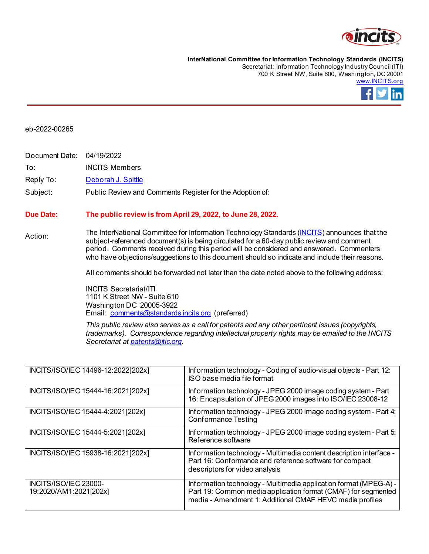

**InterNational Committee for Information Technology Standards (INCITS)** Secretariat: Information Technology Industry Council (ITI) 700 K Street NW, Suite 600, Washington, DC 20001 [www.INCITS.org](http://www.incits.org/)



## eb-2022-00265

Document Date: 04/19/2022 To: INCITS Members

Reply To: [Deborah J. Spittle](mailto:dspittle@itic.org)

## Subject: Public Review and Comments Register for the Adoption of:

## **Due Date: The public review is from April 29, 2022, to June 28, 2022.**

Action: The InterNational Committee for Information Technology Standards [\(INCITS\)](http://www.incits.org/) announces that the subject-referenced document(s) is being circulated for a 60-day public review and comment period. Comments received during this period will be considered and answered. Commenters who have objections/suggestions to this document should so indicate and include their reasons.

All comments should be forwarded not later than the date noted above to the following address:

INCITS Secretariat/ITI 1101 K Street NW - Suite 610 Washington DC 20005-3922 Email: [comments@standards.incits.org](mailto:comments@standards.incits.org) (preferred)

*This public review also serves as a call for patents and any other pertinent issues (copyrights, trademarks). Correspondence regarding intellectual property rights may be emailed to the INCITS Secretariat a[t patents@itic.org](mailto:patents@itic.org).*

| INCITS/ISO/IEC 14496-12:2022[202x]              | Information technology - Coding of audio-visual objects - Part 12:<br>ISO base media file format                                                                                               |
|-------------------------------------------------|------------------------------------------------------------------------------------------------------------------------------------------------------------------------------------------------|
| INCITS/ISO/IEC 15444-16:2021[202x]              | Information technology - JPEG 2000 image coding system - Part<br>16: Encapsulation of JPEG 2000 images into ISO/IEC 23008-12                                                                   |
| INCITS/ISO/IEC 15444-4:2021[202x]               | Information technology - JPEG 2000 image coding system - Part 4:<br><b>Conformance Testing</b>                                                                                                 |
| INCITS/ISO/IEC 15444-5:2021[202x]               | Information technology - JPEG 2000 image coding system - Part 5:<br>Reference software                                                                                                         |
| INCITS/ISO/IEC 15938-16:2021[202x]              | Information technology - Multimedia content description interface -<br>Part 16: Conformance and reference software for compact<br>descriptors for video analysis                               |
| INCITS/ISO/IEC 23000-<br>19:2020/AM1:2021[202x] | Information technology - Multimedia application format (MPEG-A) -<br>Part 19: Common media application format (CMAF) for segmented<br>media - Amendment 1: Additional CMAF HEVC media profiles |